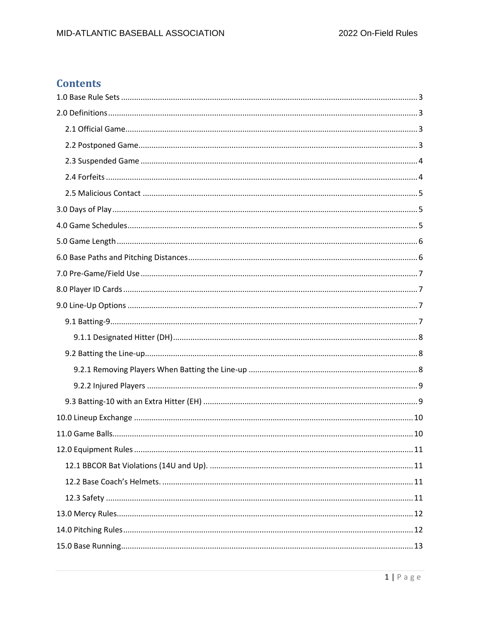# **Contents**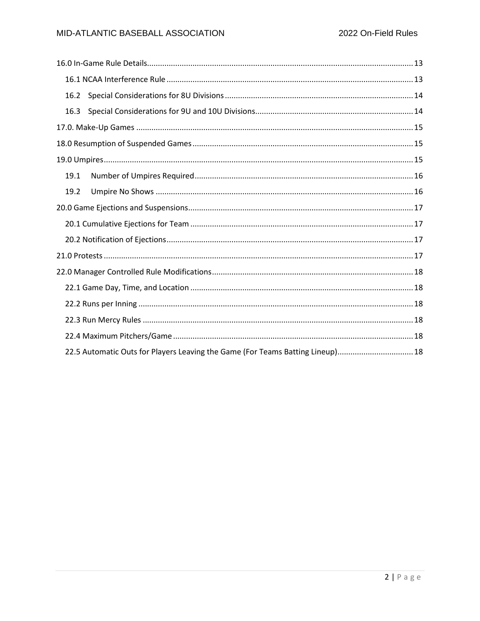| 16.2 |                                                                                |
|------|--------------------------------------------------------------------------------|
| 16.3 |                                                                                |
|      |                                                                                |
|      |                                                                                |
|      |                                                                                |
| 19.1 |                                                                                |
| 19.2 |                                                                                |
|      |                                                                                |
|      |                                                                                |
|      |                                                                                |
|      |                                                                                |
|      |                                                                                |
|      |                                                                                |
|      |                                                                                |
|      |                                                                                |
|      |                                                                                |
|      | 22.5 Automatic Outs for Players Leaving the Game (For Teams Batting Lineup) 18 |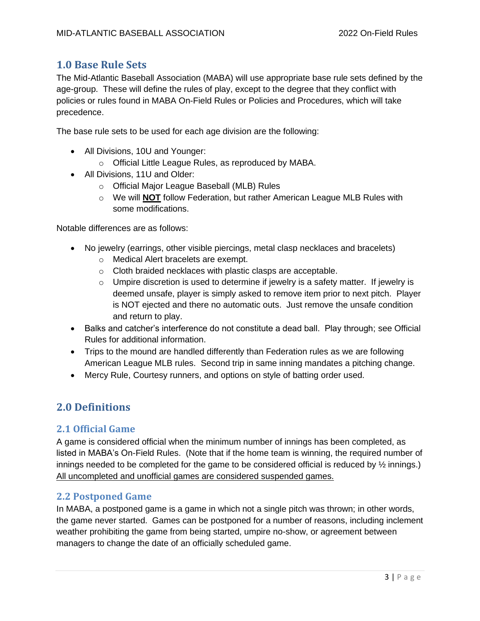## <span id="page-2-0"></span>**1.0 Base Rule Sets**

The Mid-Atlantic Baseball Association (MABA) will use appropriate base rule sets defined by the age-group. These will define the rules of play, except to the degree that they conflict with policies or rules found in MABA On-Field Rules or Policies and Procedures, which will take precedence.

The base rule sets to be used for each age division are the following:

- All Divisions, 10U and Younger:
	- o Official Little League Rules, as reproduced by MABA.
- All Divisions, 11U and Older:
	- o Official Major League Baseball (MLB) Rules
	- o We will **NOT** follow Federation, but rather American League MLB Rules with some modifications.

Notable differences are as follows:

- No jewelry (earrings, other visible piercings, metal clasp necklaces and bracelets)
	- o Medical Alert bracelets are exempt.
	- o Cloth braided necklaces with plastic clasps are acceptable.
	- $\circ$  Umpire discretion is used to determine if jewelry is a safety matter. If jewelry is deemed unsafe, player is simply asked to remove item prior to next pitch. Player is NOT ejected and there no automatic outs. Just remove the unsafe condition and return to play.
- Balks and catcher's interference do not constitute a dead ball. Play through; see Official Rules for additional information.
- Trips to the mound are handled differently than Federation rules as we are following American League MLB rules. Second trip in same inning mandates a pitching change.
- Mercy Rule, Courtesy runners, and options on style of batting order used.

# <span id="page-2-1"></span>**2.0 Definitions**

## <span id="page-2-2"></span>**2.1 Official Game**

A game is considered official when the minimum number of innings has been completed, as listed in MABA's On-Field Rules. (Note that if the home team is winning, the required number of innings needed to be completed for the game to be considered official is reduced by  $\frac{1}{2}$  innings.) All uncompleted and unofficial games are considered suspended games.

#### <span id="page-2-3"></span>**2.2 Postponed Game**

In MABA, a postponed game is a game in which not a single pitch was thrown; in other words, the game never started. Games can be postponed for a number of reasons, including inclement weather prohibiting the game from being started, umpire no-show, or agreement between managers to change the date of an officially scheduled game.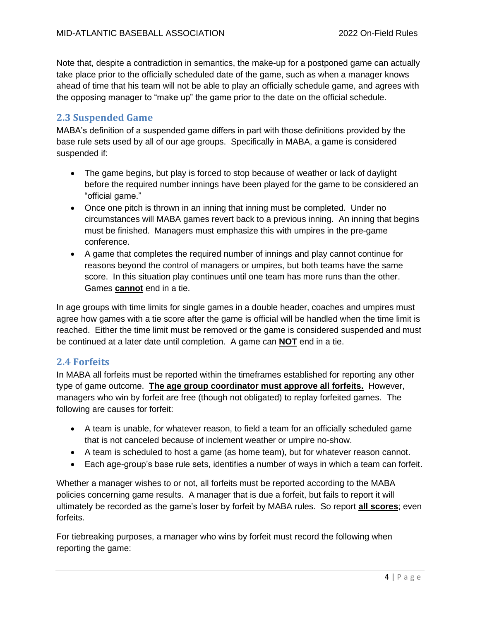Note that, despite a contradiction in semantics, the make-up for a postponed game can actually take place prior to the officially scheduled date of the game, such as when a manager knows ahead of time that his team will not be able to play an officially schedule game, and agrees with the opposing manager to "make up" the game prior to the date on the official schedule.

#### <span id="page-3-0"></span>**2.3 Suspended Game**

MABA's definition of a suspended game differs in part with those definitions provided by the base rule sets used by all of our age groups. Specifically in MABA, a game is considered suspended if:

- The game begins, but play is forced to stop because of weather or lack of daylight before the required number innings have been played for the game to be considered an "official game."
- Once one pitch is thrown in an inning that inning must be completed. Under no circumstances will MABA games revert back to a previous inning. An inning that begins must be finished. Managers must emphasize this with umpires in the pre-game conference.
- A game that completes the required number of innings and play cannot continue for reasons beyond the control of managers or umpires, but both teams have the same score. In this situation play continues until one team has more runs than the other. Games **cannot** end in a tie.

In age groups with time limits for single games in a double header, coaches and umpires must agree how games with a tie score after the game is official will be handled when the time limit is reached. Either the time limit must be removed or the game is considered suspended and must be continued at a later date until completion. A game can **NOT** end in a tie.

#### <span id="page-3-1"></span>**2.4 Forfeits**

In MABA all forfeits must be reported within the timeframes established for reporting any other type of game outcome. **The age group coordinator must approve all forfeits.** However, managers who win by forfeit are free (though not obligated) to replay forfeited games. The following are causes for forfeit:

- A team is unable, for whatever reason, to field a team for an officially scheduled game that is not canceled because of inclement weather or umpire no-show.
- A team is scheduled to host a game (as home team), but for whatever reason cannot.
- Each age-group's base rule sets, identifies a number of ways in which a team can forfeit.

Whether a manager wishes to or not, all forfeits must be reported according to the MABA policies concerning game results. A manager that is due a forfeit, but fails to report it will ultimately be recorded as the game's loser by forfeit by MABA rules. So report **all scores**; even forfeits.

For tiebreaking purposes, a manager who wins by forfeit must record the following when reporting the game: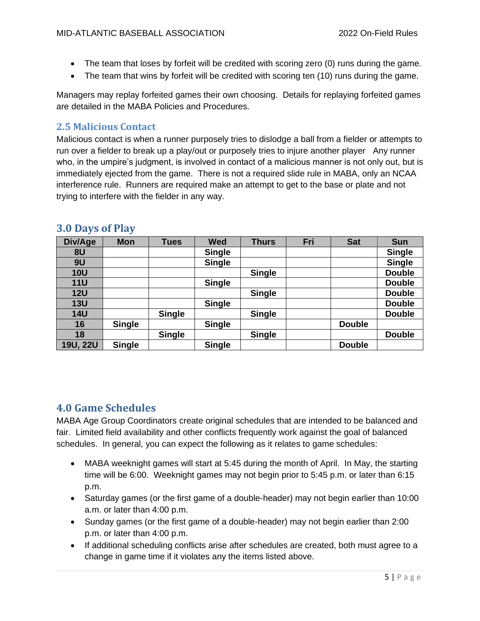- The team that loses by forfeit will be credited with scoring zero (0) runs during the game.
- The team that wins by forfeit will be credited with scoring ten (10) runs during the game.

Managers may replay forfeited games their own choosing. Details for replaying forfeited games are detailed in the MABA Policies and Procedures.

### <span id="page-4-0"></span>**2.5 Malicious Contact**

Malicious contact is when a runner purposely tries to dislodge a ball from a fielder or attempts to run over a fielder to break up a play/out or purposely tries to injure another player Any runner who, in the umpire's judgment, is involved in contact of a malicious manner is not only out, but is immediately ejected from the game. There is not a required slide rule in MABA, only an NCAA interference rule. Runners are required make an attempt to get to the base or plate and not trying to interfere with the fielder in any way.

| Div/Age         | <b>Mon</b>    | <b>Tues</b>   | <b>Wed</b>    | <b>Thurs</b>  | Fri | <b>Sat</b>    | <b>Sun</b>    |
|-----------------|---------------|---------------|---------------|---------------|-----|---------------|---------------|
| 8U              |               |               | <b>Single</b> |               |     |               | <b>Single</b> |
| 9U              |               |               | <b>Single</b> |               |     |               | <b>Single</b> |
| <b>10U</b>      |               |               |               | <b>Single</b> |     |               | <b>Double</b> |
| <b>11U</b>      |               |               | <b>Single</b> |               |     |               | <b>Double</b> |
| <b>12U</b>      |               |               |               | <b>Single</b> |     |               | <b>Double</b> |
| <b>13U</b>      |               |               | <b>Single</b> |               |     |               | <b>Double</b> |
| <b>14U</b>      |               | <b>Single</b> |               | <b>Single</b> |     |               | <b>Double</b> |
| 16              | <b>Single</b> |               | <b>Single</b> |               |     | <b>Double</b> |               |
| 18              |               | <b>Single</b> |               | <b>Single</b> |     |               | <b>Double</b> |
| <b>19U, 22U</b> | <b>Single</b> |               | <b>Single</b> |               |     | <b>Double</b> |               |

## <span id="page-4-1"></span>**3.0 Days of Play**

## <span id="page-4-2"></span>**4.0 Game Schedules**

MABA Age Group Coordinators create original schedules that are intended to be balanced and fair. Limited field availability and other conflicts frequently work against the goal of balanced schedules. In general, you can expect the following as it relates to game schedules:

- MABA weeknight games will start at 5:45 during the month of April. In May, the starting time will be 6:00. Weeknight games may not begin prior to 5:45 p.m. or later than 6:15 p.m.
- Saturday games (or the first game of a double-header) may not begin earlier than 10:00 a.m. or later than 4:00 p.m.
- Sunday games (or the first game of a double-header) may not begin earlier than 2:00 p.m. or later than 4:00 p.m.
- If additional scheduling conflicts arise after schedules are created, both must agree to a change in game time if it violates any the items listed above.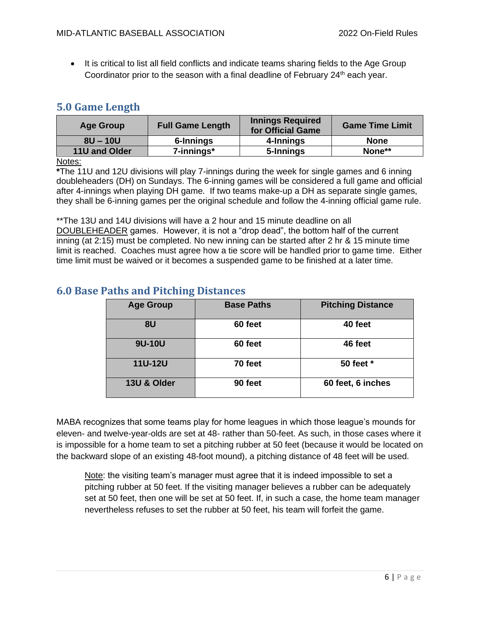• It is critical to list all field conflicts and indicate teams sharing fields to the Age Group Coordinator prior to the season with a final deadline of February  $24<sup>th</sup>$  each year.

# <span id="page-5-0"></span>**5.0 Game Length**

| <b>Age Group</b> | <b>Full Game Length</b> | <b>Innings Required</b><br>for Official Game | <b>Game Time Limit</b> |
|------------------|-------------------------|----------------------------------------------|------------------------|
| $8U - 10U$       | 6-Innings               | 4-Innings                                    | <b>None</b>            |
| 11U and Older    | 7-innings*              | 5-Innings                                    | None**                 |
| .                |                         |                                              |                        |

#### Notes:

**\***The 11U and 12U divisions will play 7-innings during the week for single games and 6 inning doubleheaders (DH) on Sundays. The 6-inning games will be considered a full game and official after 4-innings when playing DH game. If two teams make-up a DH as separate single games, they shall be 6-inning games per the original schedule and follow the 4-inning official game rule.

\*\*The 13U and 14U divisions will have a 2 hour and 15 minute deadline on all DOUBLEHEADER games. However, it is not a "drop dead", the bottom half of the current inning (at 2:15) must be completed. No new inning can be started after 2 hr & 15 minute time limit is reached. Coaches must agree how a tie score will be handled prior to game time. Either time limit must be waived or it becomes a suspended game to be finished at a later time.

| <b>Age Group</b> | <b>Base Paths</b> | <b>Pitching Distance</b> |
|------------------|-------------------|--------------------------|
| 8U               | 60 feet           | 40 feet                  |
| 9U-10U           | 60 feet           | 46 feet                  |
| <b>11U-12U</b>   | 70 feet           | 50 feet *                |
| 13U & Older      | 90 feet           | 60 feet, 6 inches        |

## <span id="page-5-1"></span>**6.0 Base Paths and Pitching Distances**

MABA recognizes that some teams play for home leagues in which those league's mounds for eleven- and twelve-year-olds are set at 48- rather than 50-feet. As such, in those cases where it is impossible for a home team to set a pitching rubber at 50 feet (because it would be located on the backward slope of an existing 48-foot mound), a pitching distance of 48 feet will be used.

Note: the visiting team's manager must agree that it is indeed impossible to set a pitching rubber at 50 feet. If the visiting manager believes a rubber can be adequately set at 50 feet, then one will be set at 50 feet. If, in such a case, the home team manager nevertheless refuses to set the rubber at 50 feet, his team will forfeit the game.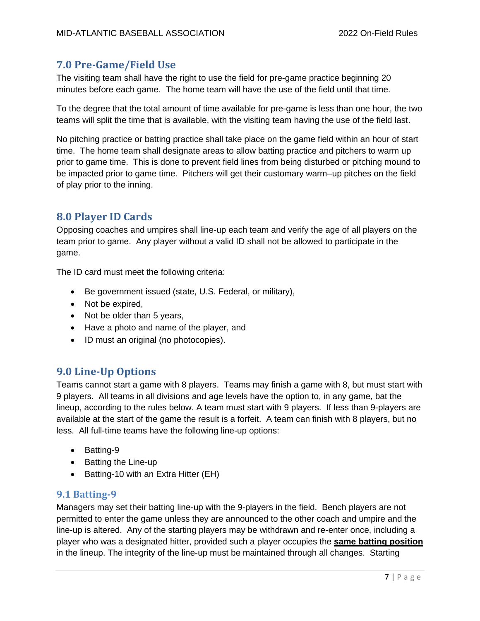# <span id="page-6-0"></span>**7.0 Pre-Game/Field Use**

The visiting team shall have the right to use the field for pre-game practice beginning 20 minutes before each game. The home team will have the use of the field until that time.

To the degree that the total amount of time available for pre-game is less than one hour, the two teams will split the time that is available, with the visiting team having the use of the field last.

No pitching practice or batting practice shall take place on the game field within an hour of start time. The home team shall designate areas to allow batting practice and pitchers to warm up prior to game time. This is done to prevent field lines from being disturbed or pitching mound to be impacted prior to game time. Pitchers will get their customary warm–up pitches on the field of play prior to the inning.

# <span id="page-6-1"></span>**8.0 Player ID Cards**

Opposing coaches and umpires shall line-up each team and verify the age of all players on the team prior to game. Any player without a valid ID shall not be allowed to participate in the game.

The ID card must meet the following criteria:

- Be government issued (state, U.S. Federal, or military),
- Not be expired,
- Not be older than 5 years,
- Have a photo and name of the player, and
- ID must an original (no photocopies).

# <span id="page-6-2"></span>**9.0 Line-Up Options**

Teams cannot start a game with 8 players. Teams may finish a game with 8, but must start with 9 players. All teams in all divisions and age levels have the option to, in any game, bat the lineup, according to the rules below. A team must start with 9 players. If less than 9-players are available at the start of the game the result is a forfeit. A team can finish with 8 players, but no less. All full-time teams have the following line-up options:

- Batting-9
- Batting the Line-up
- Batting-10 with an Extra Hitter (EH)

## <span id="page-6-3"></span>**9.1 Batting-9**

Managers may set their batting line-up with the 9-players in the field. Bench players are not permitted to enter the game unless they are announced to the other coach and umpire and the line-up is altered. Any of the starting players may be withdrawn and re-enter once, including a player who was a designated hitter, provided such a player occupies the **same batting position** in the lineup. The integrity of the line-up must be maintained through all changes. Starting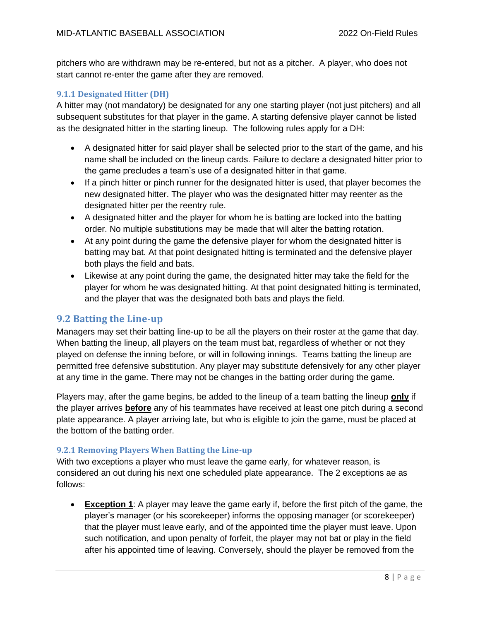pitchers who are withdrawn may be re-entered, but not as a pitcher. A player, who does not start cannot re-enter the game after they are removed.

#### <span id="page-7-0"></span>**9.1.1 Designated Hitter (DH)**

A hitter may (not mandatory) be designated for any one starting player (not just pitchers) and all subsequent substitutes for that player in the game. A starting defensive player cannot be listed as the designated hitter in the starting lineup. The following rules apply for a DH:

- A designated hitter for said player shall be selected prior to the start of the game, and his name shall be included on the lineup cards. Failure to declare a designated hitter prior to the game precludes a team's use of a designated hitter in that game.
- If a pinch hitter or pinch runner for the designated hitter is used, that player becomes the new designated hitter. The player who was the designated hitter may reenter as the designated hitter per the reentry rule.
- A designated hitter and the player for whom he is batting are locked into the batting order. No multiple substitutions may be made that will alter the batting rotation.
- At any point during the game the defensive player for whom the designated hitter is batting may bat. At that point designated hitting is terminated and the defensive player both plays the field and bats.
- Likewise at any point during the game, the designated hitter may take the field for the player for whom he was designated hitting. At that point designated hitting is terminated, and the player that was the designated both bats and plays the field.

#### <span id="page-7-1"></span>**9.2 Batting the Line-up**

Managers may set their batting line-up to be all the players on their roster at the game that day. When batting the lineup, all players on the team must bat, regardless of whether or not they played on defense the inning before, or will in following innings. Teams batting the lineup are permitted free defensive substitution. Any player may substitute defensively for any other player at any time in the game. There may not be changes in the batting order during the game.

Players may, after the game begins, be added to the lineup of a team batting the lineup **only** if the player arrives **before** any of his teammates have received at least one pitch during a second plate appearance. A player arriving late, but who is eligible to join the game, must be placed at the bottom of the batting order.

#### <span id="page-7-2"></span>**9.2.1 Removing Players When Batting the Line-up**

With two exceptions a player who must leave the game early, for whatever reason, is considered an out during his next one scheduled plate appearance. The 2 exceptions ae as follows:

• **Exception 1**: A player may leave the game early if, before the first pitch of the game, the player's manager (or his scorekeeper) informs the opposing manager (or scorekeeper) that the player must leave early, and of the appointed time the player must leave. Upon such notification, and upon penalty of forfeit, the player may not bat or play in the field after his appointed time of leaving. Conversely, should the player be removed from the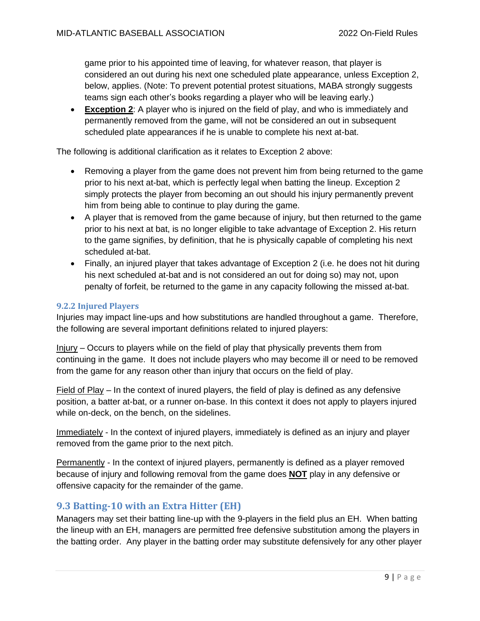game prior to his appointed time of leaving, for whatever reason, that player is considered an out during his next one scheduled plate appearance, unless Exception 2, below, applies. (Note: To prevent potential protest situations, MABA strongly suggests teams sign each other's books regarding a player who will be leaving early.)

• **Exception 2**: A player who is injured on the field of play, and who is immediately and permanently removed from the game, will not be considered an out in subsequent scheduled plate appearances if he is unable to complete his next at-bat.

The following is additional clarification as it relates to Exception 2 above:

- Removing a player from the game does not prevent him from being returned to the game prior to his next at-bat, which is perfectly legal when batting the lineup. Exception 2 simply protects the player from becoming an out should his injury permanently prevent him from being able to continue to play during the game.
- A player that is removed from the game because of injury, but then returned to the game prior to his next at bat, is no longer eligible to take advantage of Exception 2. His return to the game signifies, by definition, that he is physically capable of completing his next scheduled at-bat.
- Finally, an injured player that takes advantage of Exception 2 (i.e. he does not hit during his next scheduled at-bat and is not considered an out for doing so) may not, upon penalty of forfeit, be returned to the game in any capacity following the missed at-bat.

#### <span id="page-8-0"></span>**9.2.2 Injured Players**

Injuries may impact line-ups and how substitutions are handled throughout a game. Therefore, the following are several important definitions related to injured players:

Injury – Occurs to players while on the field of play that physically prevents them from continuing in the game. It does not include players who may become ill or need to be removed from the game for any reason other than injury that occurs on the field of play.

Field of Play – In the context of inured players, the field of play is defined as any defensive position, a batter at-bat, or a runner on-base. In this context it does not apply to players injured while on-deck, on the bench, on the sidelines.

Immediately - In the context of injured players, immediately is defined as an injury and player removed from the game prior to the next pitch.

Permanently - In the context of injured players, permanently is defined as a player removed because of injury and following removal from the game does **NOT** play in any defensive or offensive capacity for the remainder of the game.

## <span id="page-8-1"></span>**9.3 Batting-10 with an Extra Hitter (EH)**

Managers may set their batting line-up with the 9-players in the field plus an EH. When batting the lineup with an EH, managers are permitted free defensive substitution among the players in the batting order. Any player in the batting order may substitute defensively for any other player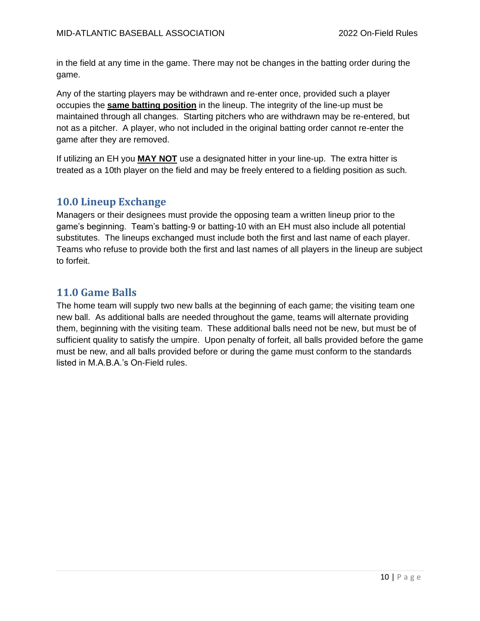in the field at any time in the game. There may not be changes in the batting order during the game.

Any of the starting players may be withdrawn and re-enter once, provided such a player occupies the **same batting position** in the lineup. The integrity of the line-up must be maintained through all changes. Starting pitchers who are withdrawn may be re-entered, but not as a pitcher. A player, who not included in the original batting order cannot re-enter the game after they are removed.

If utilizing an EH you **MAY NOT** use a designated hitter in your line-up. The extra hitter is treated as a 10th player on the field and may be freely entered to a fielding position as such.

## <span id="page-9-0"></span>**10.0 Lineup Exchange**

Managers or their designees must provide the opposing team a written lineup prior to the game's beginning. Team's batting-9 or batting-10 with an EH must also include all potential substitutes. The lineups exchanged must include both the first and last name of each player. Teams who refuse to provide both the first and last names of all players in the lineup are subject to forfeit.

# <span id="page-9-1"></span>**11.0 Game Balls**

The home team will supply two new balls at the beginning of each game; the visiting team one new ball. As additional balls are needed throughout the game, teams will alternate providing them, beginning with the visiting team. These additional balls need not be new, but must be of sufficient quality to satisfy the umpire. Upon penalty of forfeit, all balls provided before the game must be new, and all balls provided before or during the game must conform to the standards listed in M.A.B.A.'s On-Field rules.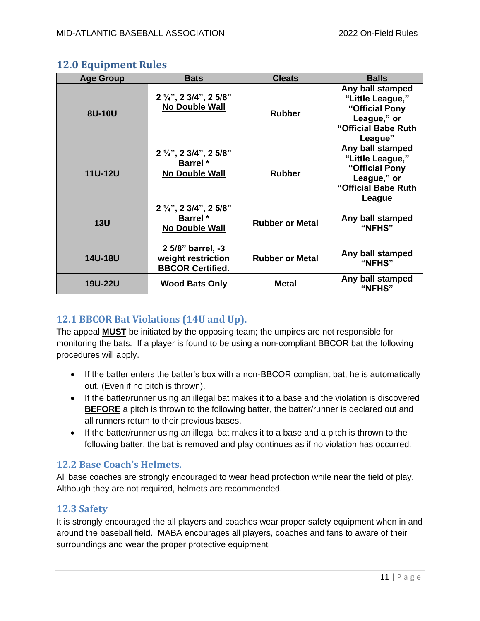## <span id="page-10-0"></span>**12.0 Equipment Rules**

| <b>Age Group</b> | <b>Bats</b>                                                                 | <b>Cleats</b>          | <b>Balls</b>                                                                                            |
|------------------|-----------------------------------------------------------------------------|------------------------|---------------------------------------------------------------------------------------------------------|
| 8U-10U           | 2 1/4", 2 3/4", 2 5/8"<br><b>No Double Wall</b>                             | <b>Rubber</b>          | Any ball stamped<br>"Little League,"<br>"Official Pony<br>League," or<br>"Official Babe Ruth<br>League" |
| <b>11U-12U</b>   | $2\frac{1}{4}$ , 2 3/4", 2 5/8"<br><b>Barrel</b> *<br><b>No Double Wall</b> | <b>Rubber</b>          | Any ball stamped<br>"Little League,"<br>"Official Pony<br>League," or<br>"Official Babe Ruth<br>League  |
| <b>13U</b>       | 2 1/4", 2 3/4", 2 5/8"<br><b>Barrel</b> *<br><b>No Double Wall</b>          | <b>Rubber or Metal</b> | Any ball stamped<br>"NFHS"                                                                              |
| <b>14U-18U</b>   | 2 5/8" barrel, -3<br>weight restriction<br><b>BBCOR Certified.</b>          | <b>Rubber or Metal</b> | Any ball stamped<br>"NFHS"                                                                              |
| <b>19U-22U</b>   | <b>Wood Bats Only</b>                                                       | <b>Metal</b>           | Any ball stamped<br>"NFHS"                                                                              |

## <span id="page-10-1"></span>**12.1 BBCOR Bat Violations (14U and Up).**

The appeal **MUST** be initiated by the opposing team; the umpires are not responsible for monitoring the bats. If a player is found to be using a non-compliant BBCOR bat the following procedures will apply.

- If the batter enters the batter's box with a non-BBCOR compliant bat, he is automatically out. (Even if no pitch is thrown).
- If the batter/runner using an illegal bat makes it to a base and the violation is discovered **BEFORE** a pitch is thrown to the following batter, the batter/runner is declared out and all runners return to their previous bases.
- If the batter/runner using an illegal bat makes it to a base and a pitch is thrown to the following batter, the bat is removed and play continues as if no violation has occurred.

## <span id="page-10-2"></span>**12.2 Base Coach's Helmets.**

All base coaches are strongly encouraged to wear head protection while near the field of play. Although they are not required, helmets are recommended.

## <span id="page-10-3"></span>**12.3 Safety**

It is strongly encouraged the all players and coaches wear proper safety equipment when in and around the baseball field. MABA encourages all players, coaches and fans to aware of their surroundings and wear the proper protective equipment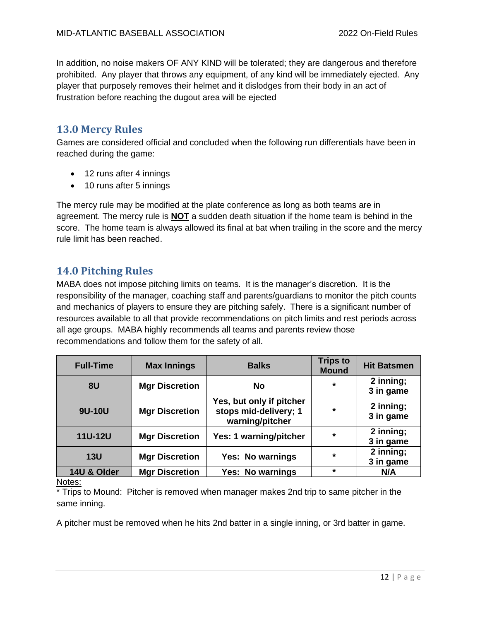In addition, no noise makers OF ANY KIND will be tolerated; they are dangerous and therefore prohibited. Any player that throws any equipment, of any kind will be immediately ejected. Any player that purposely removes their helmet and it dislodges from their body in an act of frustration before reaching the dugout area will be ejected

## <span id="page-11-0"></span>**13.0 Mercy Rules**

Games are considered official and concluded when the following run differentials have been in reached during the game:

- 12 runs after 4 innings
- 10 runs after 5 innings

The mercy rule may be modified at the plate conference as long as both teams are in agreement. The mercy rule is **NOT** a sudden death situation if the home team is behind in the score. The home team is always allowed its final at bat when trailing in the score and the mercy rule limit has been reached.

# <span id="page-11-1"></span>**14.0 Pitching Rules**

MABA does not impose pitching limits on teams. It is the manager's discretion. It is the responsibility of the manager, coaching staff and parents/guardians to monitor the pitch counts and mechanics of players to ensure they are pitching safely. There is a significant number of resources available to all that provide recommendations on pitch limits and rest periods across all age groups. MABA highly recommends all teams and parents review those recommendations and follow them for the safety of all.

| <b>Full-Time</b> | <b>Max Innings</b>    | <b>Balks</b>                                                         | <b>Trips to</b><br><b>Mound</b> | <b>Hit Batsmen</b>     |
|------------------|-----------------------|----------------------------------------------------------------------|---------------------------------|------------------------|
| 8U               | <b>Mgr Discretion</b> | <b>No</b>                                                            | $\star$                         | 2 inning;<br>3 in game |
| 9U-10U           | <b>Mgr Discretion</b> | Yes, but only if pitcher<br>stops mid-delivery; 1<br>warning/pitcher | $\star$                         | 2 inning;<br>3 in game |
| <b>11U-12U</b>   | <b>Mgr Discretion</b> | Yes: 1 warning/pitcher                                               | $\star$                         | 2 inning;<br>3 in game |
| 13U              | <b>Mgr Discretion</b> | Yes: No warnings                                                     | $\star$                         | 2 inning;<br>3 in game |
| 14U & Older      | <b>Mgr Discretion</b> | Yes: No warnings                                                     | $\star$                         | N/A                    |

#### Notes:

\* Trips to Mound: Pitcher is removed when manager makes 2nd trip to same pitcher in the same inning.

A pitcher must be removed when he hits 2nd batter in a single inning, or 3rd batter in game.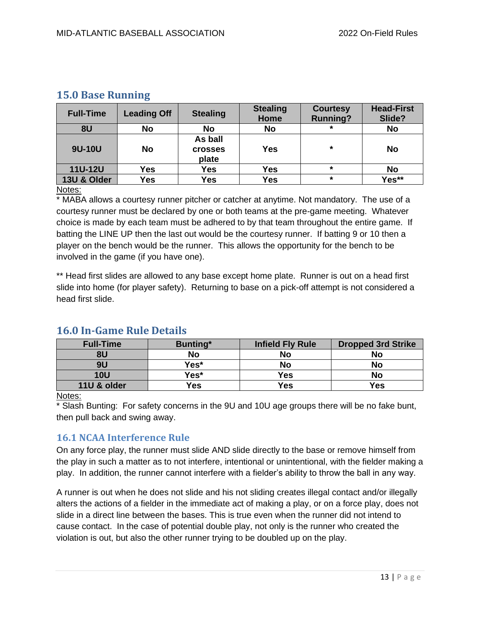| <b>Full-Time</b> | <b>Leading Off</b> | <b>Stealing</b>                    | <b>Stealing</b><br>Home | <b>Courtesy</b><br><b>Running?</b> | <b>Head-First</b><br>Slide? |
|------------------|--------------------|------------------------------------|-------------------------|------------------------------------|-----------------------------|
| 8U               | <b>No</b>          | <b>No</b>                          | <b>No</b>               | $\star$                            | <b>No</b>                   |
| 9U-10U           | <b>No</b>          | As ball<br><b>Crosses</b><br>plate | <b>Yes</b>              | $\star$                            | No                          |
| <b>11U-12U</b>   | Yes                | Yes                                | Yes                     | $\star$                            | No                          |
| 13U & Older      | Yes                | Yes                                | <b>Yes</b>              | $\star$                            | Yes**                       |

## <span id="page-12-0"></span>**15.0 Base Running**

#### Notes:

\* MABA allows a courtesy runner pitcher or catcher at anytime. Not mandatory. The use of a courtesy runner must be declared by one or both teams at the pre-game meeting. Whatever choice is made by each team must be adhered to by that team throughout the entire game. If batting the LINE UP then the last out would be the courtesy runner. If batting 9 or 10 then a player on the bench would be the runner. This allows the opportunity for the bench to be involved in the game (if you have one).

\*\* Head first slides are allowed to any base except home plate. Runner is out on a head first slide into home (for player safety). Returning to base on a pick-off attempt is not considered a head first slide.

| <b>Full-Time</b> | <b>Bunting*</b> | <b>Infield Fly Rule</b> | <b>Dropped 3rd Strike</b> |
|------------------|-----------------|-------------------------|---------------------------|
| 8U               | <b>No</b>       | No                      | <b>No</b>                 |
| 9U               | Yes*            | <b>No</b>               | No                        |
| <b>10U</b>       | Yes*            | Yes                     | No                        |
| 11U & older      | Yes             | Yes                     | <b>Yes</b>                |

## <span id="page-12-1"></span>**16.0 In-Game Rule Details**

#### Notes:

\* Slash Bunting: For safety concerns in the 9U and 10U age groups there will be no fake bunt, then pull back and swing away.

#### <span id="page-12-2"></span>**16.1 NCAA Interference Rule**

On any force play, the runner must slide AND slide directly to the base or remove himself from the play in such a matter as to not interfere, intentional or unintentional, with the fielder making a play. In addition, the runner cannot interfere with a fielder's ability to throw the ball in any way.

A runner is out when he does not slide and his not sliding creates illegal contact and/or illegally alters the actions of a fielder in the immediate act of making a play, or on a force play, does not slide in a direct line between the bases. This is true even when the runner did not intend to cause contact. In the case of potential double play, not only is the runner who created the violation is out, but also the other runner trying to be doubled up on the play.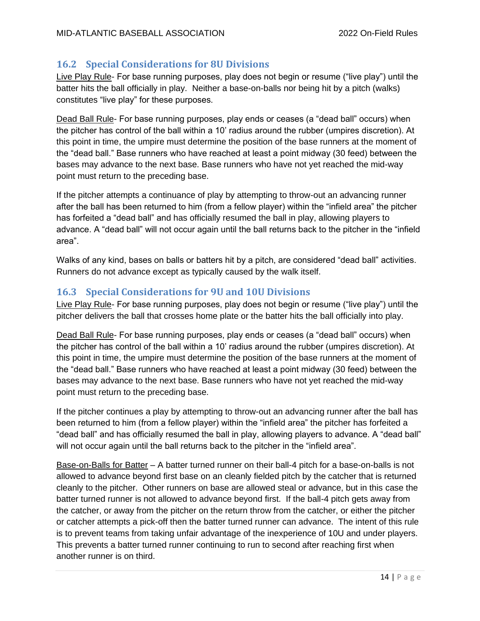## <span id="page-13-0"></span>**16.2 Special Considerations for 8U Divisions**

Live Play Rule- For base running purposes, play does not begin or resume ("live play") until the batter hits the ball officially in play. Neither a base-on-balls nor being hit by a pitch (walks) constitutes "live play" for these purposes.

Dead Ball Rule- For base running purposes, play ends or ceases (a "dead ball" occurs) when the pitcher has control of the ball within a 10' radius around the rubber (umpires discretion). At this point in time, the umpire must determine the position of the base runners at the moment of the "dead ball." Base runners who have reached at least a point midway (30 feed) between the bases may advance to the next base. Base runners who have not yet reached the mid-way point must return to the preceding base.

If the pitcher attempts a continuance of play by attempting to throw-out an advancing runner after the ball has been returned to him (from a fellow player) within the "infield area" the pitcher has forfeited a "dead ball" and has officially resumed the ball in play, allowing players to advance. A "dead ball" will not occur again until the ball returns back to the pitcher in the "infield area".

Walks of any kind, bases on balls or batters hit by a pitch, are considered "dead ball" activities. Runners do not advance except as typically caused by the walk itself.

## <span id="page-13-1"></span>**16.3 Special Considerations for 9U and 10U Divisions**

Live Play Rule- For base running purposes, play does not begin or resume ("live play") until the pitcher delivers the ball that crosses home plate or the batter hits the ball officially into play.

Dead Ball Rule- For base running purposes, play ends or ceases (a "dead ball" occurs) when the pitcher has control of the ball within a 10' radius around the rubber (umpires discretion). At this point in time, the umpire must determine the position of the base runners at the moment of the "dead ball." Base runners who have reached at least a point midway (30 feed) between the bases may advance to the next base. Base runners who have not yet reached the mid-way point must return to the preceding base.

If the pitcher continues a play by attempting to throw-out an advancing runner after the ball has been returned to him (from a fellow player) within the "infield area" the pitcher has forfeited a "dead ball" and has officially resumed the ball in play, allowing players to advance. A "dead ball" will not occur again until the ball returns back to the pitcher in the "infield area".

Base-on-Balls for Batter – A batter turned runner on their ball-4 pitch for a base-on-balls is not allowed to advance beyond first base on an cleanly fielded pitch by the catcher that is returned cleanly to the pitcher. Other runners on base are allowed steal or advance, but in this case the batter turned runner is not allowed to advance beyond first. If the ball-4 pitch gets away from the catcher, or away from the pitcher on the return throw from the catcher, or either the pitcher or catcher attempts a pick-off then the batter turned runner can advance. The intent of this rule is to prevent teams from taking unfair advantage of the inexperience of 10U and under players. This prevents a batter turned runner continuing to run to second after reaching first when another runner is on third.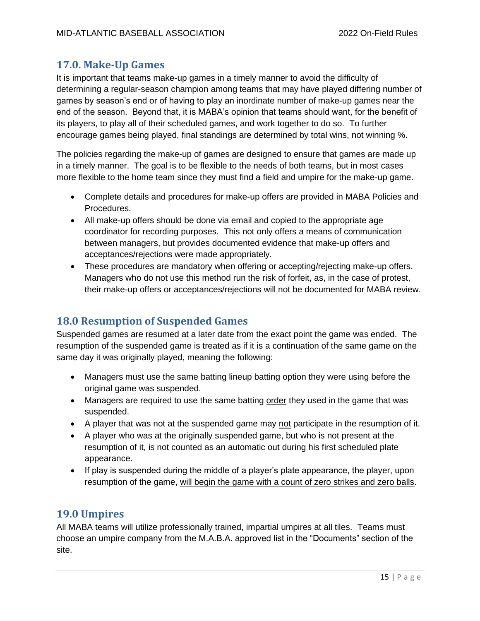# <span id="page-14-0"></span>**17.0. Make-Up Games**

It is important that teams make-up games in a timely manner to avoid the difficulty of determining a regular-season champion among teams that may have played differing number of games by season's end or of having to play an inordinate number of make-up games near the end of the season. Beyond that, it is MABA's opinion that teams should want, for the benefit of its players, to play all of their scheduled games, and work together to do so. To further encourage games being played, final standings are determined by total wins, not winning %.

The policies regarding the make-up of games are designed to ensure that games are made up in a timely manner. The goal is to be flexible to the needs of both teams, but in most cases more flexible to the home team since they must find a field and umpire for the make-up game.

- Complete details and procedures for make-up offers are provided in MABA Policies and Procedures.
- All make-up offers should be done via email and copied to the appropriate age coordinator for recording purposes. This not only offers a means of communication between managers, but provides documented evidence that make-up offers and acceptances/rejections were made appropriately.
- These procedures are mandatory when offering or accepting/rejecting make-up offers. Managers who do not use this method run the risk of forfeit, as, in the case of protest, their make-up offers or acceptances/rejections will not be documented for MABA review.

# <span id="page-14-1"></span>**18.0 Resumption of Suspended Games**

Suspended games are resumed at a later date from the exact point the game was ended. The resumption of the suspended game is treated as if it is a continuation of the same game on the same day it was originally played, meaning the following:

- Managers must use the same batting lineup batting option they were using before the original game was suspended.
- Managers are required to use the same batting order they used in the game that was suspended.
- A player that was not at the suspended game may not participate in the resumption of it.
- A player who was at the originally suspended game, but who is not present at the resumption of it, is not counted as an automatic out during his first scheduled plate appearance.
- If play is suspended during the middle of a player's plate appearance, the player, upon resumption of the game, will begin the game with a count of zero strikes and zero balls.

## <span id="page-14-2"></span>**19.0 Umpires**

All MABA teams will utilize professionally trained, impartial umpires at all tiles. Teams must choose an umpire company from the M.A.B.A. approved list in the "Documents" section of the site.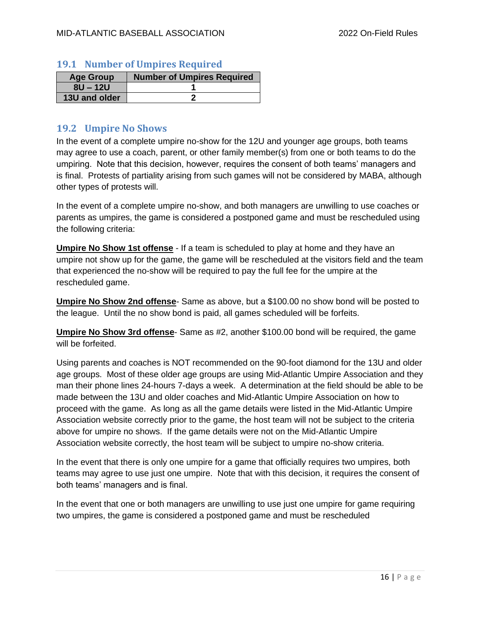#### <span id="page-15-0"></span>**19.1 Number of Umpires Required**

| <b>Age Group</b> | <b>Number of Umpires Required</b> |
|------------------|-----------------------------------|
| $8U - 12U$       |                                   |
| 13U and older    |                                   |

#### <span id="page-15-1"></span>**19.2 Umpire No Shows**

In the event of a complete umpire no-show for the 12U and younger age groups, both teams may agree to use a coach, parent, or other family member(s) from one or both teams to do the umpiring. Note that this decision, however, requires the consent of both teams' managers and is final. Protests of partiality arising from such games will not be considered by MABA, although other types of protests will.

In the event of a complete umpire no-show, and both managers are unwilling to use coaches or parents as umpires, the game is considered a postponed game and must be rescheduled using the following criteria:

**Umpire No Show 1st offense** - If a team is scheduled to play at home and they have an umpire not show up for the game, the game will be rescheduled at the visitors field and the team that experienced the no-show will be required to pay the full fee for the umpire at the rescheduled game.

**Umpire No Show 2nd offense**- Same as above, but a \$100.00 no show bond will be posted to the league. Until the no show bond is paid, all games scheduled will be forfeits.

**Umpire No Show 3rd offense**- Same as #2, another \$100.00 bond will be required, the game will be forfeited.

Using parents and coaches is NOT recommended on the 90-foot diamond for the 13U and older age groups. Most of these older age groups are using Mid-Atlantic Umpire Association and they man their phone lines 24-hours 7-days a week. A determination at the field should be able to be made between the 13U and older coaches and Mid-Atlantic Umpire Association on how to proceed with the game. As long as all the game details were listed in the Mid-Atlantic Umpire Association website correctly prior to the game, the host team will not be subject to the criteria above for umpire no shows. If the game details were not on the Mid-Atlantic Umpire Association website correctly, the host team will be subject to umpire no-show criteria.

In the event that there is only one umpire for a game that officially requires two umpires, both teams may agree to use just one umpire. Note that with this decision, it requires the consent of both teams' managers and is final.

In the event that one or both managers are unwilling to use just one umpire for game requiring two umpires, the game is considered a postponed game and must be rescheduled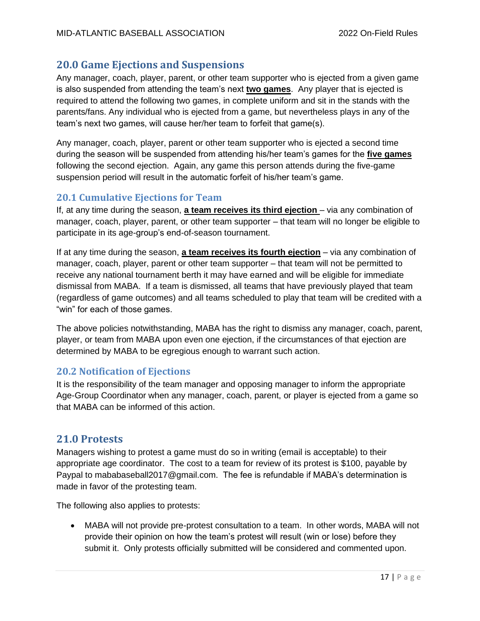## <span id="page-16-0"></span>**20.0 Game Ejections and Suspensions**

Any manager, coach, player, parent, or other team supporter who is ejected from a given game is also suspended from attending the team's next **two games**. Any player that is ejected is required to attend the following two games, in complete uniform and sit in the stands with the parents/fans. Any individual who is ejected from a game, but nevertheless plays in any of the team's next two games, will cause her/her team to forfeit that game(s).

Any manager, coach, player, parent or other team supporter who is ejected a second time during the season will be suspended from attending his/her team's games for the **five games** following the second ejection. Again, any game this person attends during the five-game suspension period will result in the automatic forfeit of his/her team's game.

## <span id="page-16-1"></span>**20.1 Cumulative Ejections for Team**

If, at any time during the season, **a team receives its third ejection** – via any combination of manager, coach, player, parent, or other team supporter – that team will no longer be eligible to participate in its age-group's end-of-season tournament.

If at any time during the season, **a team receives its fourth ejection** – via any combination of manager, coach, player, parent or other team supporter – that team will not be permitted to receive any national tournament berth it may have earned and will be eligible for immediate dismissal from MABA. If a team is dismissed, all teams that have previously played that team (regardless of game outcomes) and all teams scheduled to play that team will be credited with a "win" for each of those games.

The above policies notwithstanding, MABA has the right to dismiss any manager, coach, parent, player, or team from MABA upon even one ejection, if the circumstances of that ejection are determined by MABA to be egregious enough to warrant such action.

#### <span id="page-16-2"></span>**20.2 Notification of Ejections**

It is the responsibility of the team manager and opposing manager to inform the appropriate Age-Group Coordinator when any manager, coach, parent, or player is ejected from a game so that MABA can be informed of this action.

## <span id="page-16-3"></span>**21.0 Protests**

Managers wishing to protest a game must do so in writing (email is acceptable) to their appropriate age coordinator. The cost to a team for review of its protest is \$100, payable by Paypal to mababaseball2017@gmail.com. The fee is refundable if MABA's determination is made in favor of the protesting team.

The following also applies to protests:

• MABA will not provide pre-protest consultation to a team. In other words, MABA will not provide their opinion on how the team's protest will result (win or lose) before they submit it. Only protests officially submitted will be considered and commented upon.